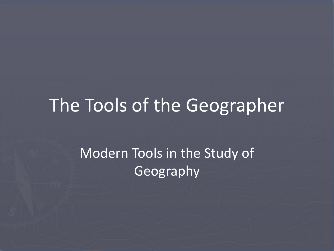#### The Tools of the Geographer

#### Modern Tools in the Study of Geography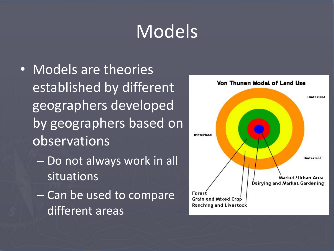# **Models**

- Models are theories established by different geographers developed by geographers based on observations
	- Do not always work in all situations
	- Can be used to compare different areas

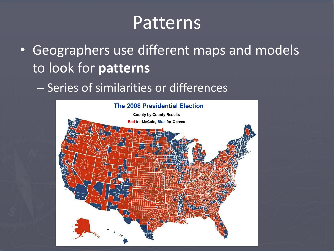### Patterns

- Geographers use different maps and models to look for **patterns**
	- Series of similarities or differences

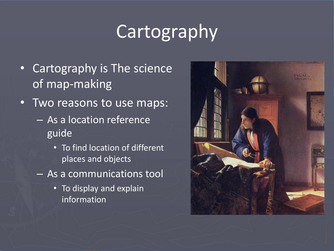# Cartography

- Cartography is The science of map-making
- Two reasons to use maps:
	- As a location reference guide
		- To find location of different places and objects
	- As a communications tool
		- To display and explain information

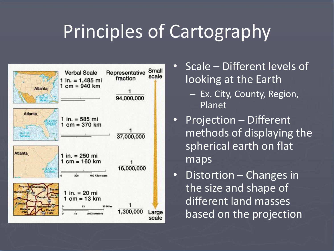## Principles of Cartography



- Scale Different levels of looking at the Earth
	- Ex. City, County, Region, Planet
- Projection Different methods of displaying the spherical earth on flat maps
- Distortion Changes in the size and shape of different land masses based on the projection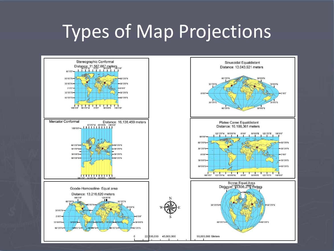## Types of Map Projections

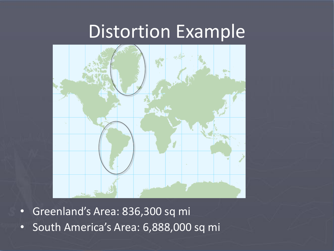#### Distortion Example



- Greenland's Area: 836,300 sq mi
- South America's Area: 6,888,000 sq mi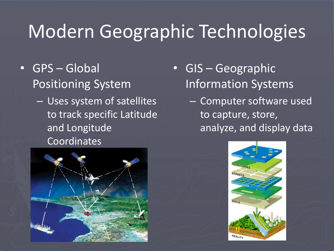# Modern Geographic Technologies

- GPS Global Positioning System
	- Uses system of satellites to track specific Latitude and Longitude Coordinates



- GIS Geographic Information Systems
	- Computer software used to capture, store, analyze, and display data